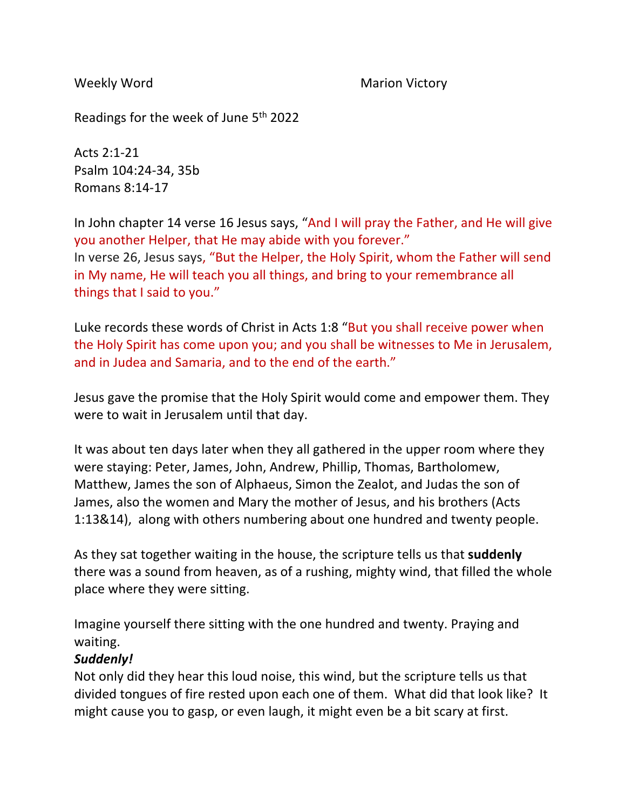Weekly Word **Marion Victory** Marion Victory

Readings for the week of June 5th 2022

Acts 2:1-21 Psalm 104:24-34, 35b Romans 8:14-17

In John chapter 14 verse 16 Jesus says, "And I will pray the Father, and He will give you another Helper, that He may abide with you forever." In verse 26, Jesus says, "But the Helper, the Holy Spirit, whom the Father will send in My name, He will teach you all things, and bring to your remembrance all things that I said to you."

Luke records these words of Christ in Acts 1:8 "But you shall receive power when the Holy Spirit has come upon you; and you shall be witnesses to Me in Jerusalem, and in Judea and Samaria, and to the end of the earth."

Jesus gave the promise that the Holy Spirit would come and empower them. They were to wait in Jerusalem until that day.

It was about ten days later when they all gathered in the upper room where they were staying: Peter, James, John, Andrew, Phillip, Thomas, Bartholomew, Matthew, James the son of Alphaeus, Simon the Zealot, and Judas the son of James, also the women and Mary the mother of Jesus, and his brothers (Acts 1:13&14), along with others numbering about one hundred and twenty people.

As they sat together waiting in the house, the scripture tells us that **suddenly**  there was a sound from heaven, as of a rushing, mighty wind, that filled the whole place where they were sitting.

Imagine yourself there sitting with the one hundred and twenty. Praying and waiting.

## *Suddenly!*

Not only did they hear this loud noise, this wind, but the scripture tells us that divided tongues of fire rested upon each one of them. What did that look like? It might cause you to gasp, or even laugh, it might even be a bit scary at first.